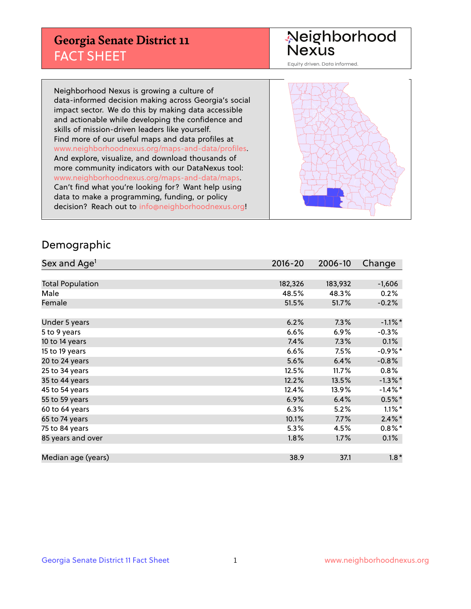## **Georgia Senate District 11** FACT SHEET

# Neighborhood<br>Nexus

Equity driven. Data informed.

Neighborhood Nexus is growing a culture of data-informed decision making across Georgia's social impact sector. We do this by making data accessible and actionable while developing the confidence and skills of mission-driven leaders like yourself. Find more of our useful maps and data profiles at www.neighborhoodnexus.org/maps-and-data/profiles. And explore, visualize, and download thousands of more community indicators with our DataNexus tool: www.neighborhoodnexus.org/maps-and-data/maps. Can't find what you're looking for? Want help using data to make a programming, funding, or policy decision? Reach out to [info@neighborhoodnexus.org!](mailto:info@neighborhoodnexus.org)



### Demographic

| Sex and Age <sup>1</sup> | $2016 - 20$ | 2006-10 | Change     |
|--------------------------|-------------|---------|------------|
|                          |             |         |            |
| <b>Total Population</b>  | 182,326     | 183,932 | $-1,606$   |
| Male                     | 48.5%       | 48.3%   | 0.2%       |
| Female                   | 51.5%       | 51.7%   | $-0.2%$    |
|                          |             |         |            |
| Under 5 years            | 6.2%        | 7.3%    | $-1.1\%$ * |
| 5 to 9 years             | 6.6%        | 6.9%    | $-0.3%$    |
| 10 to 14 years           | 7.4%        | 7.3%    | 0.1%       |
| 15 to 19 years           | 6.6%        | 7.5%    | $-0.9%$ *  |
| 20 to 24 years           | 5.6%        | 6.4%    | $-0.8%$    |
| 25 to 34 years           | 12.5%       | 11.7%   | $0.8\%$    |
| 35 to 44 years           | 12.2%       | 13.5%   | $-1.3\%$ * |
| 45 to 54 years           | 12.4%       | 13.9%   | $-1.4\%$ * |
| 55 to 59 years           | 6.9%        | 6.4%    | $0.5%$ *   |
| 60 to 64 years           | 6.3%        | 5.2%    | $1.1\%$ *  |
| 65 to 74 years           | 10.1%       | 7.7%    | $2.4\%$ *  |
| 75 to 84 years           | 5.3%        | 4.5%    | $0.8\%$ *  |
| 85 years and over        | 1.8%        | 1.7%    | 0.1%       |
|                          |             |         |            |
| Median age (years)       | 38.9        | 37.1    | $1.8*$     |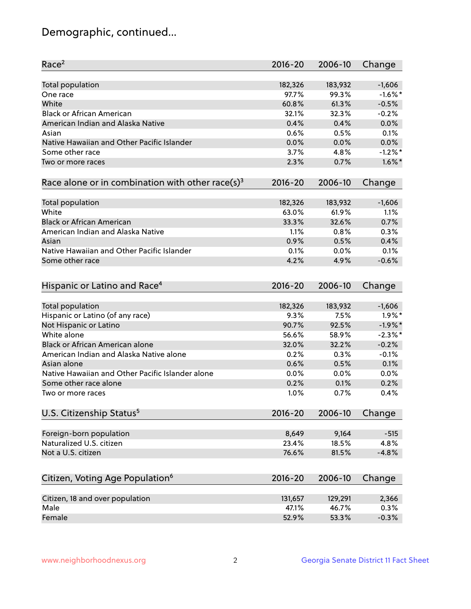## Demographic, continued...

| Race <sup>2</sup>                                            | $2016 - 20$ | 2006-10 | Change     |
|--------------------------------------------------------------|-------------|---------|------------|
| <b>Total population</b>                                      | 182,326     | 183,932 | $-1,606$   |
| One race                                                     | 97.7%       | 99.3%   | $-1.6\%$ * |
| White                                                        | 60.8%       | 61.3%   | $-0.5%$    |
| <b>Black or African American</b>                             | 32.1%       | 32.3%   | $-0.2%$    |
| American Indian and Alaska Native                            | 0.4%        | 0.4%    | 0.0%       |
| Asian                                                        | 0.6%        | 0.5%    | 0.1%       |
| Native Hawaiian and Other Pacific Islander                   | 0.0%        | 0.0%    | 0.0%       |
| Some other race                                              | 3.7%        | 4.8%    | $-1.2%$ *  |
| Two or more races                                            | 2.3%        | 0.7%    | $1.6\%$ *  |
| Race alone or in combination with other race(s) <sup>3</sup> | $2016 - 20$ | 2006-10 | Change     |
| <b>Total population</b>                                      | 182,326     | 183,932 | $-1,606$   |
| White                                                        | 63.0%       | 61.9%   | 1.1%       |
| <b>Black or African American</b>                             | 33.3%       | 32.6%   | 0.7%       |
| American Indian and Alaska Native                            | 1.1%        | 0.8%    | 0.3%       |
| Asian                                                        | 0.9%        | 0.5%    | 0.4%       |
| Native Hawaiian and Other Pacific Islander                   | 0.1%        | 0.0%    | 0.1%       |
| Some other race                                              | 4.2%        | 4.9%    | $-0.6%$    |
| Hispanic or Latino and Race <sup>4</sup>                     | $2016 - 20$ | 2006-10 | Change     |
| <b>Total population</b>                                      | 182,326     | 183,932 | $-1,606$   |
| Hispanic or Latino (of any race)                             | 9.3%        | 7.5%    | $1.9\%$ *  |
| Not Hispanic or Latino                                       | 90.7%       | 92.5%   | $-1.9%$ *  |
| White alone                                                  | 56.6%       | 58.9%   | $-2.3\%$ * |
| <b>Black or African American alone</b>                       | 32.0%       | 32.2%   | $-0.2%$    |
| American Indian and Alaska Native alone                      | 0.2%        | 0.3%    | $-0.1%$    |
| Asian alone                                                  | 0.6%        | 0.5%    | 0.1%       |
| Native Hawaiian and Other Pacific Islander alone             | 0.0%        | 0.0%    | 0.0%       |
| Some other race alone                                        | 0.2%        | 0.1%    | 0.2%       |
| Two or more races                                            | 1.0%        | 0.7%    | 0.4%       |
| U.S. Citizenship Status <sup>5</sup>                         | $2016 - 20$ | 2006-10 | Change     |
|                                                              |             |         |            |
| Foreign-born population                                      | 8,649       | 9,164   | $-515$     |
| Naturalized U.S. citizen                                     | 23.4%       | 18.5%   | 4.8%       |
| Not a U.S. citizen                                           | 76.6%       | 81.5%   | $-4.8%$    |
| Citizen, Voting Age Population <sup>6</sup>                  | $2016 - 20$ | 2006-10 | Change     |
|                                                              |             |         |            |
| Citizen, 18 and over population                              | 131,657     | 129,291 | 2,366      |
| Male                                                         | 47.1%       | 46.7%   | 0.3%       |
| Female                                                       | 52.9%       | 53.3%   | $-0.3%$    |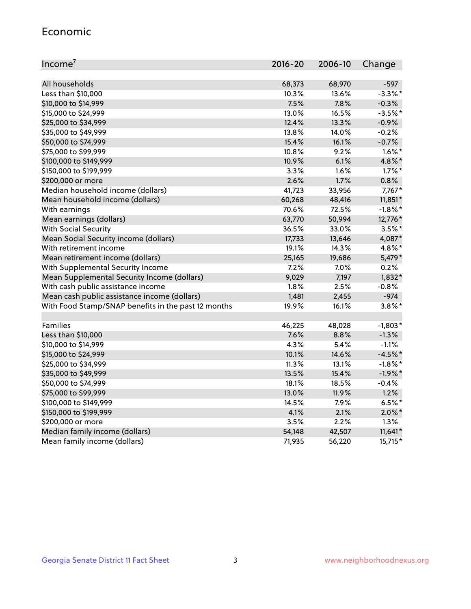#### Economic

| Income <sup>7</sup>                                 | 2016-20 | 2006-10 | Change     |
|-----------------------------------------------------|---------|---------|------------|
|                                                     |         |         |            |
| All households                                      | 68,373  | 68,970  | $-597$     |
| Less than \$10,000                                  | 10.3%   | 13.6%   | $-3.3\%$ * |
| \$10,000 to \$14,999                                | 7.5%    | 7.8%    | $-0.3%$    |
| \$15,000 to \$24,999                                | 13.0%   | 16.5%   | $-3.5%$ *  |
| \$25,000 to \$34,999                                | 12.4%   | 13.3%   | $-0.9%$    |
| \$35,000 to \$49,999                                | 13.8%   | 14.0%   | $-0.2%$    |
| \$50,000 to \$74,999                                | 15.4%   | 16.1%   | $-0.7%$    |
| \$75,000 to \$99,999                                | 10.8%   | 9.2%    | $1.6\%$ *  |
| \$100,000 to \$149,999                              | 10.9%   | 6.1%    | 4.8%*      |
| \$150,000 to \$199,999                              | 3.3%    | 1.6%    | $1.7\%$ *  |
| \$200,000 or more                                   | 2.6%    | 1.7%    | 0.8%       |
| Median household income (dollars)                   | 41,723  | 33,956  | 7,767*     |
| Mean household income (dollars)                     | 60,268  | 48,416  | $11,851*$  |
| With earnings                                       | 70.6%   | 72.5%   | $-1.8\%$ * |
| Mean earnings (dollars)                             | 63,770  | 50,994  | 12,776*    |
| <b>With Social Security</b>                         | 36.5%   | 33.0%   | $3.5%$ *   |
| Mean Social Security income (dollars)               | 17,733  | 13,646  | 4,087*     |
| With retirement income                              | 19.1%   | 14.3%   | 4.8%*      |
| Mean retirement income (dollars)                    | 25,165  | 19,686  | 5,479*     |
| With Supplemental Security Income                   | 7.2%    | 7.0%    | 0.2%       |
| Mean Supplemental Security Income (dollars)         | 9,029   | 7,197   | $1,832*$   |
| With cash public assistance income                  | 1.8%    | 2.5%    | $-0.8%$    |
| Mean cash public assistance income (dollars)        | 1,481   | 2,455   | $-974$     |
| With Food Stamp/SNAP benefits in the past 12 months | 19.9%   | 16.1%   | $3.8\%$ *  |
|                                                     |         |         |            |
| Families                                            | 46,225  | 48,028  | $-1,803*$  |
| Less than \$10,000                                  | 7.6%    | 8.8%    | $-1.3%$    |
| \$10,000 to \$14,999                                | 4.3%    | 5.4%    | $-1.1%$    |
| \$15,000 to \$24,999                                | 10.1%   | 14.6%   | $-4.5%$ *  |
| \$25,000 to \$34,999                                | 11.3%   | 13.1%   | $-1.8\%$ * |
| \$35,000 to \$49,999                                | 13.5%   | 15.4%   | $-1.9\%$ * |
| \$50,000 to \$74,999                                | 18.1%   | 18.5%   | $-0.4%$    |
| \$75,000 to \$99,999                                | 13.0%   | 11.9%   | 1.2%       |
| \$100,000 to \$149,999                              | 14.5%   | 7.9%    | $6.5%$ *   |
| \$150,000 to \$199,999                              | 4.1%    | 2.1%    | $2.0\%$ *  |
| \$200,000 or more                                   | 3.5%    | 2.2%    | 1.3%       |
| Median family income (dollars)                      | 54,148  | 42,507  | $11,641*$  |
| Mean family income (dollars)                        | 71,935  | 56,220  | 15,715*    |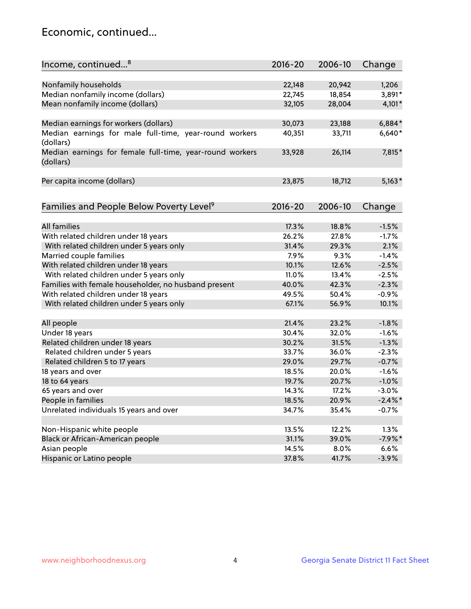## Economic, continued...

| Income, continued <sup>8</sup>                                        | $2016 - 20$ | 2006-10 | Change     |
|-----------------------------------------------------------------------|-------------|---------|------------|
|                                                                       |             |         |            |
| Nonfamily households                                                  | 22,148      | 20,942  | 1,206      |
| Median nonfamily income (dollars)                                     | 22,745      | 18,854  | 3,891*     |
| Mean nonfamily income (dollars)                                       | 32,105      | 28,004  | $4,101*$   |
| Median earnings for workers (dollars)                                 | 30,073      | 23,188  | $6,884*$   |
| Median earnings for male full-time, year-round workers                | 40,351      | 33,711  | $6,640*$   |
| (dollars)                                                             |             |         |            |
| Median earnings for female full-time, year-round workers<br>(dollars) | 33,928      | 26,114  | 7,815*     |
| Per capita income (dollars)                                           | 23,875      | 18,712  | $5,163*$   |
|                                                                       |             |         |            |
| Families and People Below Poverty Level <sup>9</sup>                  | $2016 - 20$ | 2006-10 | Change     |
|                                                                       |             |         |            |
| <b>All families</b>                                                   | 17.3%       | 18.8%   | $-1.5%$    |
| With related children under 18 years                                  | 26.2%       | 27.8%   | $-1.7%$    |
| With related children under 5 years only                              | 31.4%       | 29.3%   | 2.1%       |
| Married couple families                                               | 7.9%        | 9.3%    | $-1.4%$    |
| With related children under 18 years                                  | 10.1%       | 12.6%   | $-2.5%$    |
| With related children under 5 years only                              | 11.0%       | 13.4%   | $-2.5%$    |
| Families with female householder, no husband present                  | 40.0%       | 42.3%   | $-2.3%$    |
| With related children under 18 years                                  | 49.5%       | 50.4%   | $-0.9%$    |
| With related children under 5 years only                              | 67.1%       | 56.9%   | 10.1%      |
| All people                                                            | 21.4%       | 23.2%   | $-1.8%$    |
| Under 18 years                                                        | 30.4%       | 32.0%   | $-1.6%$    |
| Related children under 18 years                                       | 30.2%       | 31.5%   | $-1.3%$    |
| Related children under 5 years                                        | 33.7%       | 36.0%   | $-2.3%$    |
| Related children 5 to 17 years                                        | 29.0%       | 29.7%   | $-0.7%$    |
| 18 years and over                                                     | 18.5%       | 20.0%   | $-1.6%$    |
| 18 to 64 years                                                        | 19.7%       | 20.7%   | $-1.0%$    |
| 65 years and over                                                     | 14.3%       | 17.2%   | $-3.0%$    |
| People in families                                                    | 18.5%       | 20.9%   | $-2.4\%$ * |
| Unrelated individuals 15 years and over                               | 34.7%       | 35.4%   | $-0.7%$    |
|                                                                       |             |         |            |
| Non-Hispanic white people                                             | 13.5%       | 12.2%   | 1.3%       |
| Black or African-American people                                      | 31.1%       | 39.0%   | $-7.9%$ *  |
| Asian people                                                          | 14.5%       | 8.0%    | 6.6%       |
| Hispanic or Latino people                                             | 37.8%       | 41.7%   | $-3.9%$    |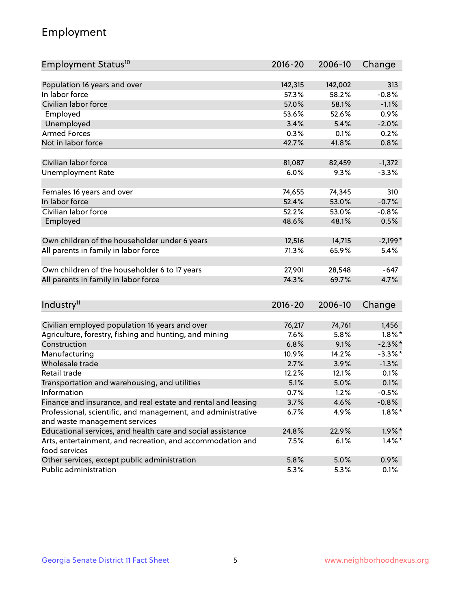## Employment

| Employment Status <sup>10</sup>                                             | $2016 - 20$ | 2006-10 | Change     |
|-----------------------------------------------------------------------------|-------------|---------|------------|
|                                                                             |             |         |            |
| Population 16 years and over                                                | 142,315     | 142,002 | 313        |
| In labor force                                                              | 57.3%       | 58.2%   | $-0.8%$    |
| Civilian labor force                                                        | 57.0%       | 58.1%   | $-1.1%$    |
| Employed                                                                    | 53.6%       | 52.6%   | 0.9%       |
| Unemployed                                                                  | 3.4%        | 5.4%    | $-2.0%$    |
| <b>Armed Forces</b>                                                         | 0.3%        | 0.1%    | 0.2%       |
| Not in labor force                                                          | 42.7%       | 41.8%   | 0.8%       |
|                                                                             |             |         |            |
| Civilian labor force                                                        | 81,087      | 82,459  | $-1,372$   |
| <b>Unemployment Rate</b>                                                    | 6.0%        | 9.3%    | $-3.3%$    |
| Females 16 years and over                                                   | 74,655      | 74,345  | 310        |
| In labor force                                                              | 52.4%       | 53.0%   | $-0.7%$    |
| Civilian labor force                                                        | 52.2%       | 53.0%   | $-0.8%$    |
| Employed                                                                    | 48.6%       | 48.1%   | 0.5%       |
|                                                                             |             |         |            |
| Own children of the householder under 6 years                               | 12,516      | 14,715  | $-2,199*$  |
| All parents in family in labor force                                        | 71.3%       | 65.9%   | 5.4%       |
|                                                                             |             |         |            |
| Own children of the householder 6 to 17 years                               | 27,901      | 28,548  | -647       |
| All parents in family in labor force                                        | 74.3%       | 69.7%   | 4.7%       |
|                                                                             |             |         |            |
| Industry <sup>11</sup>                                                      | $2016 - 20$ | 2006-10 | Change     |
|                                                                             |             |         |            |
| Civilian employed population 16 years and over                              | 76,217      | 74,761  | 1,456      |
| Agriculture, forestry, fishing and hunting, and mining                      | 7.6%        | 5.8%    | $1.8\%$ *  |
| Construction                                                                | 6.8%        | 9.1%    | $-2.3\%$ * |
| Manufacturing                                                               | 10.9%       | 14.2%   | $-3.3\%$ * |
| Wholesale trade                                                             | 2.7%        | 3.9%    | $-1.3%$    |
| Retail trade                                                                | 12.2%       | 12.1%   | 0.1%       |
| Transportation and warehousing, and utilities                               | 5.1%        | 5.0%    | 0.1%       |
| Information                                                                 | 0.7%        | 1.2%    | $-0.5%$    |
| Finance and insurance, and real estate and rental and leasing               | 3.7%        | 4.6%    | $-0.8\%$   |
| Professional, scientific, and management, and administrative                | 6.7%        | 4.9%    | $1.8\%$ *  |
| and waste management services                                               |             |         |            |
| Educational services, and health care and social assistance                 | 24.8%       | 22.9%   | $1.9\%$ *  |
| Arts, entertainment, and recreation, and accommodation and<br>food services | 7.5%        | 6.1%    | $1.4\%$ *  |
| Other services, except public administration                                | 5.8%        | 5.0%    | 0.9%       |
| Public administration                                                       | 5.3%        | 5.3%    | 0.1%       |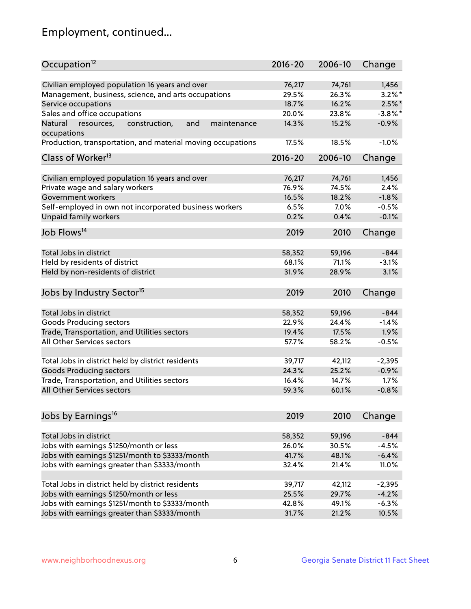## Employment, continued...

| Occupation <sup>12</sup>                                                    | $2016 - 20$ | 2006-10 | Change     |
|-----------------------------------------------------------------------------|-------------|---------|------------|
| Civilian employed population 16 years and over                              | 76,217      | 74,761  |            |
|                                                                             |             | 26.3%   | 1,456      |
| Management, business, science, and arts occupations                         | 29.5%       |         | $3.2\%$ *  |
| Service occupations                                                         | 18.7%       | 16.2%   | $2.5%$ *   |
| Sales and office occupations                                                | 20.0%       | 23.8%   | $-3.8\%$ * |
| Natural<br>and<br>resources,<br>construction,<br>maintenance<br>occupations | 14.3%       | 15.2%   | $-0.9%$    |
| Production, transportation, and material moving occupations                 | 17.5%       | 18.5%   | $-1.0%$    |
| Class of Worker <sup>13</sup>                                               | $2016 - 20$ | 2006-10 | Change     |
|                                                                             |             |         |            |
| Civilian employed population 16 years and over                              | 76,217      | 74,761  | 1,456      |
| Private wage and salary workers                                             | 76.9%       | 74.5%   | 2.4%       |
| Government workers                                                          | 16.5%       | 18.2%   | $-1.8%$    |
| Self-employed in own not incorporated business workers                      | 6.5%        | $7.0\%$ | $-0.5%$    |
| Unpaid family workers                                                       | 0.2%        | 0.4%    | $-0.1%$    |
| Job Flows <sup>14</sup>                                                     | 2019        | 2010    | Change     |
|                                                                             |             |         |            |
| Total Jobs in district                                                      | 58,352      | 59,196  | $-844$     |
| Held by residents of district                                               | 68.1%       | 71.1%   | $-3.1%$    |
| Held by non-residents of district                                           | 31.9%       | 28.9%   | 3.1%       |
| Jobs by Industry Sector <sup>15</sup>                                       | 2019        | 2010    | Change     |
|                                                                             |             |         |            |
| Total Jobs in district                                                      | 58,352      | 59,196  | -844       |
| Goods Producing sectors                                                     | 22.9%       | 24.4%   | $-1.4%$    |
| Trade, Transportation, and Utilities sectors                                | 19.4%       | 17.5%   | 1.9%       |
| All Other Services sectors                                                  | 57.7%       | 58.2%   | $-0.5%$    |
|                                                                             |             |         |            |
| Total Jobs in district held by district residents                           | 39,717      | 42,112  | $-2,395$   |
| <b>Goods Producing sectors</b>                                              | 24.3%       | 25.2%   | $-0.9%$    |
| Trade, Transportation, and Utilities sectors                                | 16.4%       | 14.7%   | 1.7%       |
| All Other Services sectors                                                  | 59.3%       | 60.1%   | $-0.8%$    |
|                                                                             |             |         |            |
| Jobs by Earnings <sup>16</sup>                                              | 2019        | 2010    | Change     |
|                                                                             |             |         |            |
| Total Jobs in district                                                      | 58,352      | 59,196  | $-844$     |
| Jobs with earnings \$1250/month or less                                     | 26.0%       | 30.5%   | $-4.5%$    |
| Jobs with earnings \$1251/month to \$3333/month                             | 41.7%       | 48.1%   | $-6.4%$    |
| Jobs with earnings greater than \$3333/month                                | 32.4%       | 21.4%   | 11.0%      |
| Total Jobs in district held by district residents                           | 39,717      | 42,112  | $-2,395$   |
|                                                                             |             |         |            |
| Jobs with earnings \$1250/month or less                                     | 25.5%       | 29.7%   | $-4.2%$    |
| Jobs with earnings \$1251/month to \$3333/month                             | 42.8%       | 49.1%   | $-6.3%$    |
| Jobs with earnings greater than \$3333/month                                | 31.7%       | 21.2%   | 10.5%      |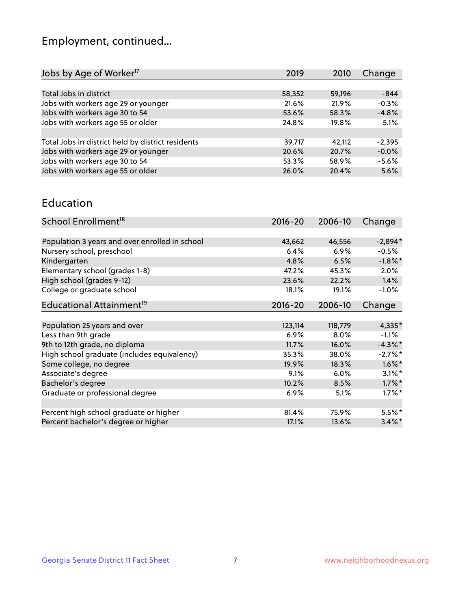## Employment, continued...

| 2019   | 2010   | Change   |
|--------|--------|----------|
|        |        |          |
| 58,352 | 59,196 | $-844$   |
| 21.6%  | 21.9%  | $-0.3%$  |
| 53.6%  | 58.3%  | $-4.8%$  |
| 24.8%  | 19.8%  | 5.1%     |
|        |        |          |
| 39,717 | 42.112 | $-2,395$ |
| 20.6%  | 20.7%  | $-0.0%$  |
| 53.3%  | 58.9%  | $-5.6%$  |
| 26.0%  | 20.4%  | 5.6%     |
|        |        |          |

#### Education

| School Enrollment <sup>18</sup>                | $2016 - 20$ | 2006-10 | Change     |
|------------------------------------------------|-------------|---------|------------|
|                                                |             |         |            |
| Population 3 years and over enrolled in school | 43,662      | 46,556  | $-2,894*$  |
| Nursery school, preschool                      | 6.4%        | $6.9\%$ | $-0.5%$    |
| Kindergarten                                   | 4.8%        | 6.5%    | $-1.8\%$ * |
| Elementary school (grades 1-8)                 | 47.2%       | 45.3%   | 2.0%       |
| High school (grades 9-12)                      | 23.6%       | 22.2%   | 1.4%       |
| College or graduate school                     | 18.1%       | 19.1%   | $-1.0%$    |
| Educational Attainment <sup>19</sup>           | $2016 - 20$ | 2006-10 | Change     |
|                                                |             |         |            |
| Population 25 years and over                   | 123,114     | 118,779 | 4,335*     |
| Less than 9th grade                            | 6.9%        | $8.0\%$ | $-1.1%$    |
| 9th to 12th grade, no diploma                  | 11.7%       | 16.0%   | $-4.3\%$ * |
| High school graduate (includes equivalency)    | 35.3%       | 38.0%   | $-2.7%$ *  |
| Some college, no degree                        | 19.9%       | 18.3%   | $1.6\%$ *  |
| Associate's degree                             | 9.1%        | 6.0%    | $3.1\%$ *  |
| Bachelor's degree                              | 10.2%       | 8.5%    | $1.7\%$ *  |
| Graduate or professional degree                | 6.9%        | 5.1%    | $1.7\%$ *  |
|                                                |             |         |            |
| Percent high school graduate or higher         | 81.4%       | 75.9%   | $5.5\%$ *  |
| Percent bachelor's degree or higher            | 17.1%       | 13.6%   | $3.4\%$ *  |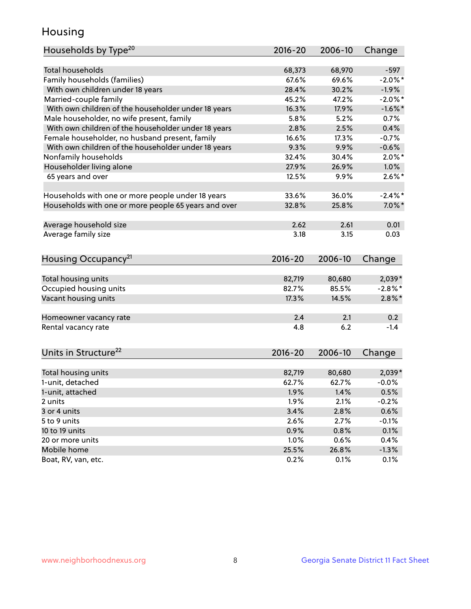## Housing

| Households by Type <sup>20</sup>                     | 2016-20 | 2006-10 | Change     |
|------------------------------------------------------|---------|---------|------------|
|                                                      |         |         |            |
| <b>Total households</b>                              | 68,373  | 68,970  | $-597$     |
| Family households (families)                         | 67.6%   | 69.6%   | $-2.0\%$ * |
| With own children under 18 years                     | 28.4%   | 30.2%   | $-1.9%$    |
| Married-couple family                                | 45.2%   | 47.2%   | $-2.0\%$ * |
| With own children of the householder under 18 years  | 16.3%   | 17.9%   | $-1.6%$ *  |
| Male householder, no wife present, family            | 5.8%    | 5.2%    | 0.7%       |
| With own children of the householder under 18 years  | 2.8%    | 2.5%    | 0.4%       |
| Female householder, no husband present, family       | 16.6%   | 17.3%   | $-0.7%$    |
| With own children of the householder under 18 years  | 9.3%    | 9.9%    | $-0.6%$    |
| Nonfamily households                                 | 32.4%   | 30.4%   | $2.0\%$ *  |
| Householder living alone                             | 27.9%   | 26.9%   | 1.0%       |
| 65 years and over                                    | 12.5%   | 9.9%    | $2.6\%$ *  |
|                                                      |         |         |            |
| Households with one or more people under 18 years    | 33.6%   | 36.0%   | $-2.4\%$ * |
| Households with one or more people 65 years and over | 32.8%   | 25.8%   | $7.0\%$ *  |
|                                                      |         |         |            |
| Average household size                               | 2.62    | 2.61    | 0.01       |
| Average family size                                  | 3.18    | 3.15    | 0.03       |
|                                                      |         |         |            |
| Housing Occupancy <sup>21</sup>                      | 2016-20 | 2006-10 | Change     |
|                                                      |         |         |            |
| Total housing units                                  | 82,719  | 80,680  | $2,039*$   |
| Occupied housing units                               | 82.7%   | 85.5%   | $-2.8\%$ * |
| Vacant housing units                                 | 17.3%   | 14.5%   | $2.8\%$ *  |
|                                                      |         |         |            |
| Homeowner vacancy rate                               | 2.4     | 2.1     | 0.2        |
| Rental vacancy rate                                  | 4.8     | 6.2     | $-1.4$     |
|                                                      |         |         |            |
| Units in Structure <sup>22</sup>                     | 2016-20 | 2006-10 | Change     |
|                                                      |         |         |            |
| Total housing units                                  | 82,719  | 80,680  | $2,039*$   |
| 1-unit, detached                                     | 62.7%   | 62.7%   | $-0.0%$    |
| 1-unit, attached                                     | 1.9%    | 1.4%    | 0.5%       |
| 2 units                                              | 1.9%    | 2.1%    | $-0.2%$    |
| 3 or 4 units                                         | 3.4%    | 2.8%    | 0.6%       |
| 5 to 9 units                                         | 2.6%    | 2.7%    | $-0.1%$    |
| 10 to 19 units                                       | 0.9%    | 0.8%    | 0.1%       |
| 20 or more units                                     | 1.0%    | 0.6%    | 0.4%       |
| Mobile home                                          | 25.5%   | 26.8%   | $-1.3%$    |
| Boat, RV, van, etc.                                  | 0.2%    | 0.1%    | 0.1%       |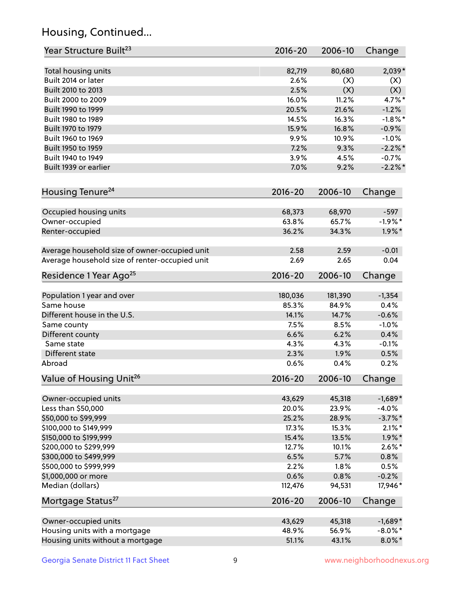## Housing, Continued...

| Year Structure Built <sup>23</sup>             | 2016-20     | 2006-10 | Change     |
|------------------------------------------------|-------------|---------|------------|
| Total housing units                            | 82,719      | 80,680  | $2,039*$   |
| Built 2014 or later                            | 2.6%        | (X)     | (X)        |
| Built 2010 to 2013                             | 2.5%        | (X)     | (X)        |
| Built 2000 to 2009                             | 16.0%       | 11.2%   | 4.7%*      |
| Built 1990 to 1999                             | 20.5%       | 21.6%   | $-1.2%$    |
| Built 1980 to 1989                             | 14.5%       | 16.3%   | $-1.8\%$ * |
| Built 1970 to 1979                             | 15.9%       | 16.8%   | $-0.9%$    |
| Built 1960 to 1969                             | 9.9%        | 10.9%   | $-1.0%$    |
| Built 1950 to 1959                             | 7.2%        | 9.3%    | $-2.2\%$ * |
| Built 1940 to 1949                             | 3.9%        | 4.5%    | $-0.7%$    |
| Built 1939 or earlier                          | 7.0%        | 9.2%    | $-2.2\%$ * |
|                                                |             |         |            |
| Housing Tenure <sup>24</sup>                   | 2016-20     | 2006-10 | Change     |
| Occupied housing units                         | 68,373      | 68,970  | $-597$     |
| Owner-occupied                                 | 63.8%       | 65.7%   | $-1.9%$ *  |
| Renter-occupied                                | 36.2%       | 34.3%   | $1.9\%$ *  |
| Average household size of owner-occupied unit  | 2.58        | 2.59    | $-0.01$    |
| Average household size of renter-occupied unit | 2.69        | 2.65    | 0.04       |
| Residence 1 Year Ago <sup>25</sup>             | 2016-20     | 2006-10 | Change     |
| Population 1 year and over                     | 180,036     | 181,390 | $-1,354$   |
| Same house                                     | 85.3%       | 84.9%   | 0.4%       |
| Different house in the U.S.                    | 14.1%       | 14.7%   | $-0.6%$    |
| Same county                                    | 7.5%        | 8.5%    | $-1.0%$    |
| Different county                               | 6.6%        | 6.2%    | 0.4%       |
| Same state                                     | 4.3%        | 4.3%    | $-0.1%$    |
| Different state                                | 2.3%        | 1.9%    | 0.5%       |
| Abroad                                         | 0.6%        | 0.4%    | 0.2%       |
|                                                |             |         |            |
| Value of Housing Unit <sup>26</sup>            | $2016 - 20$ | 2006-10 | Change     |
| Owner-occupied units                           | 43,629      | 45,318  | $-1,689*$  |
| Less than \$50,000                             | 20.0%       | 23.9%   | $-4.0%$    |
| \$50,000 to \$99,999                           | 25.2%       | 28.9%   | $-3.7\%$ * |
| \$100,000 to \$149,999                         | 17.3%       | 15.3%   | $2.1\%$ *  |
| \$150,000 to \$199,999                         | 15.4%       | 13.5%   | $1.9\%$ *  |
| \$200,000 to \$299,999                         | 12.7%       | 10.1%   | $2.6\%$ *  |
| \$300,000 to \$499,999                         | 6.5%        | 5.7%    | 0.8%       |
| \$500,000 to \$999,999                         | 2.2%        | 1.8%    | 0.5%       |
| \$1,000,000 or more                            | 0.6%        | 0.8%    | $-0.2%$    |
| Median (dollars)                               | 112,476     | 94,531  | 17,946*    |
| Mortgage Status <sup>27</sup>                  | $2016 - 20$ | 2006-10 | Change     |
| Owner-occupied units                           | 43,629      | 45,318  | $-1,689*$  |
| Housing units with a mortgage                  | 48.9%       | 56.9%   | $-8.0\%$ * |
| Housing units without a mortgage               | 51.1%       | 43.1%   | $8.0\%$ *  |
|                                                |             |         |            |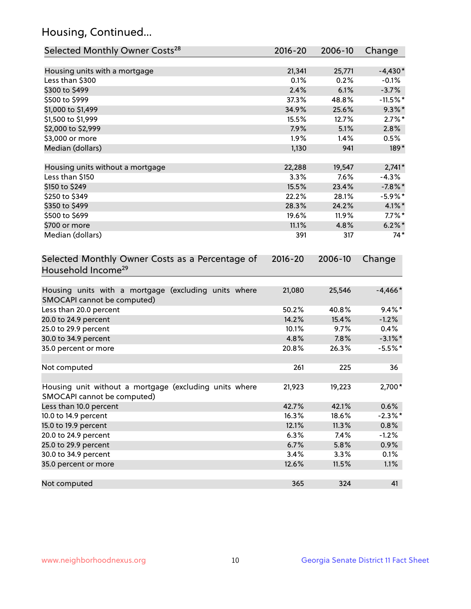## Housing, Continued...

| Selected Monthly Owner Costs <sup>28</sup>                                            | $2016 - 20$ | 2006-10 | Change     |
|---------------------------------------------------------------------------------------|-------------|---------|------------|
| Housing units with a mortgage                                                         | 21,341      | 25,771  | $-4,430*$  |
| Less than \$300                                                                       | 0.1%        | 0.2%    | $-0.1%$    |
| \$300 to \$499                                                                        | 2.4%        | 6.1%    | $-3.7%$    |
| \$500 to \$999                                                                        | 37.3%       | 48.8%   | $-11.5%$ * |
| \$1,000 to \$1,499                                                                    | 34.9%       | 25.6%   | $9.3\%$ *  |
| \$1,500 to \$1,999                                                                    | 15.5%       | 12.7%   | $2.7\%$ *  |
| \$2,000 to \$2,999                                                                    | 7.9%        | 5.1%    | 2.8%       |
| \$3,000 or more                                                                       | 1.9%        | 1.4%    | 0.5%       |
| Median (dollars)                                                                      | 1,130       | 941     | 189*       |
| Housing units without a mortgage                                                      | 22,288      | 19,547  | $2,741*$   |
| Less than \$150                                                                       | 3.3%        | 7.6%    | $-4.3%$    |
| \$150 to \$249                                                                        | 15.5%       | 23.4%   | $-7.8\%$ * |
| \$250 to \$349                                                                        | 22.2%       | 28.1%   | $-5.9\%$ * |
| \$350 to \$499                                                                        | 28.3%       | 24.2%   | $4.1\%$ *  |
| \$500 to \$699                                                                        | 19.6%       | 11.9%   | $7.7\%$ *  |
| \$700 or more                                                                         | 11.1%       | 4.8%    | $6.2\%$ *  |
| Median (dollars)                                                                      | 391         | 317     | $74*$      |
| Selected Monthly Owner Costs as a Percentage of<br>Household Income <sup>29</sup>     | $2016 - 20$ | 2006-10 | Change     |
| Housing units with a mortgage (excluding units where<br>SMOCAPI cannot be computed)   | 21,080      | 25,546  | $-4,466*$  |
| Less than 20.0 percent                                                                | 50.2%       | 40.8%   | $9.4\%$ *  |
| 20.0 to 24.9 percent                                                                  | 14.2%       | 15.4%   | $-1.2%$    |
| 25.0 to 29.9 percent                                                                  | 10.1%       | 9.7%    | 0.4%       |
| 30.0 to 34.9 percent                                                                  | 4.8%        | 7.8%    | $-3.1\%$ * |
| 35.0 percent or more                                                                  | 20.8%       | 26.3%   | $-5.5%$ *  |
| Not computed                                                                          | 261         | 225     | 36         |
| Housing unit without a mortgage (excluding units where<br>SMOCAPI cannot be computed) | 21,923      | 19,223  | 2,700*     |
| Less than 10.0 percent                                                                | 42.7%       | 42.1%   | 0.6%       |
| 10.0 to 14.9 percent                                                                  | 16.3%       | 18.6%   | $-2.3\%$ * |
| 15.0 to 19.9 percent                                                                  | 12.1%       | 11.3%   | 0.8%       |
| 20.0 to 24.9 percent                                                                  | 6.3%        | 7.4%    | $-1.2%$    |
| 25.0 to 29.9 percent                                                                  | 6.7%        | 5.8%    | 0.9%       |
| 30.0 to 34.9 percent                                                                  | 3.4%        | $3.3\%$ | 0.1%       |
| 35.0 percent or more                                                                  | 12.6%       | 11.5%   | 1.1%       |
| Not computed                                                                          | 365         | 324     | 41         |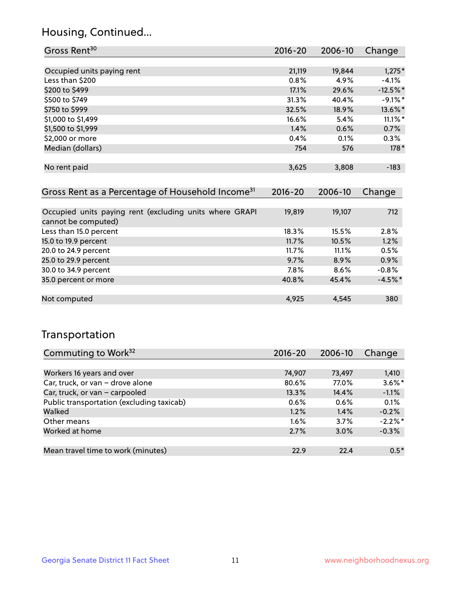## Housing, Continued...

| Gross Rent <sup>30</sup>                                                       | 2016-20 | 2006-10 | Change     |
|--------------------------------------------------------------------------------|---------|---------|------------|
|                                                                                |         |         |            |
| Occupied units paying rent                                                     | 21,119  | 19,844  | $1,275*$   |
| Less than \$200                                                                | 0.8%    | 4.9%    | $-4.1%$    |
| \$200 to \$499                                                                 | 17.1%   | 29.6%   | $-12.5%$ * |
| \$500 to \$749                                                                 | 31.3%   | 40.4%   | $-9.1\%$ * |
| \$750 to \$999                                                                 | 32.5%   | 18.9%   | 13.6%*     |
| \$1,000 to \$1,499                                                             | 16.6%   | 5.4%    | $11.1\%$ * |
| \$1,500 to \$1,999                                                             | 1.4%    | 0.6%    | 0.7%       |
| \$2,000 or more                                                                | 0.4%    | 0.1%    | 0.3%       |
| Median (dollars)                                                               | 754     | 576     | $178*$     |
|                                                                                |         |         |            |
| No rent paid                                                                   | 3,625   | 3,808   | $-183$     |
|                                                                                |         |         |            |
| Gross Rent as a Percentage of Household Income <sup>31</sup>                   | 2016-20 | 2006-10 | Change     |
|                                                                                |         |         |            |
| Occupied units paying rent (excluding units where GRAPI<br>cannot be computed) | 19,819  | 19,107  | 712        |
| Less than 15.0 percent                                                         | 18.3%   | 15.5%   | 2.8%       |
| 15.0 to 19.9 percent                                                           | 11.7%   | 10.5%   | 1.2%       |
| 20.0 to 24.9 percent                                                           | 11.7%   | 11.1%   | 0.5%       |
| 25.0 to 29.9 percent                                                           | 9.7%    | 8.9%    | 0.9%       |
| 30.0 to 34.9 percent                                                           | 7.8%    | 8.6%    | $-0.8%$    |
| 35.0 percent or more                                                           | 40.8%   | 45.4%   | $-4.5\%$ * |

| Not computed | 4.925 | 4,545 | 380 |
|--------------|-------|-------|-----|

## Transportation

| Commuting to Work <sup>32</sup>           | $2016 - 20$ | 2006-10 | Change     |
|-------------------------------------------|-------------|---------|------------|
|                                           |             |         |            |
| Workers 16 years and over                 | 74,907      | 73,497  | 1,410      |
| Car, truck, or van - drove alone          | 80.6%       | 77.0%   | $3.6\%$ *  |
| Car, truck, or van - carpooled            | 13.3%       | 14.4%   | $-1.1%$    |
| Public transportation (excluding taxicab) | $0.6\%$     | 0.6%    | 0.1%       |
| Walked                                    | 1.2%        | 1.4%    | $-0.2%$    |
| Other means                               | $1.6\%$     | 3.7%    | $-2.2\%$ * |
| Worked at home                            | 2.7%        | 3.0%    | $-0.3%$    |
|                                           |             |         |            |
| Mean travel time to work (minutes)        | 22.9        | 22.4    | $0.5*$     |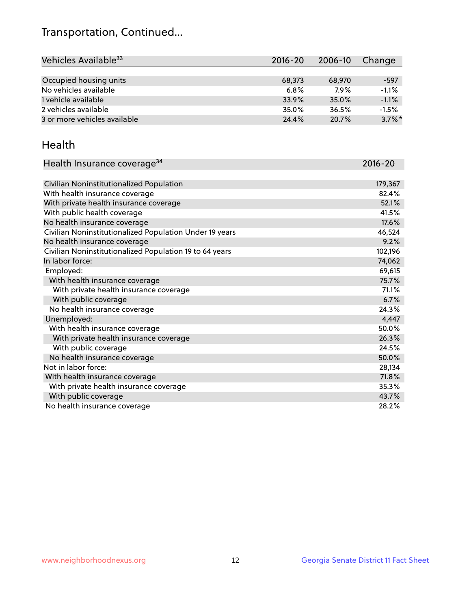## Transportation, Continued...

| Vehicles Available <sup>33</sup> | 2016-20 | 2006-10 | Change    |
|----------------------------------|---------|---------|-----------|
|                                  |         |         |           |
| Occupied housing units           | 68,373  | 68,970  | $-597$    |
| No vehicles available            | 6.8%    | 7.9%    | $-1.1%$   |
| 1 vehicle available              | 33.9%   | 35.0%   | $-1.1%$   |
| 2 vehicles available             | 35.0%   | 36.5%   | $-1.5%$   |
| 3 or more vehicles available     | 24.4%   | 20.7%   | $3.7\%$ * |

#### Health

| Health Insurance coverage <sup>34</sup>                 | 2016-20 |
|---------------------------------------------------------|---------|
|                                                         |         |
| Civilian Noninstitutionalized Population                | 179,367 |
| With health insurance coverage                          | 82.4%   |
| With private health insurance coverage                  | 52.1%   |
| With public health coverage                             | 41.5%   |
| No health insurance coverage                            | 17.6%   |
| Civilian Noninstitutionalized Population Under 19 years | 46,524  |
| No health insurance coverage                            | 9.2%    |
| Civilian Noninstitutionalized Population 19 to 64 years | 102,196 |
| In labor force:                                         | 74,062  |
| Employed:                                               | 69,615  |
| With health insurance coverage                          | 75.7%   |
| With private health insurance coverage                  | 71.1%   |
| With public coverage                                    | 6.7%    |
| No health insurance coverage                            | 24.3%   |
| Unemployed:                                             | 4,447   |
| With health insurance coverage                          | 50.0%   |
| With private health insurance coverage                  | 26.3%   |
| With public coverage                                    | 24.5%   |
| No health insurance coverage                            | 50.0%   |
| Not in labor force:                                     | 28,134  |
| With health insurance coverage                          | 71.8%   |
| With private health insurance coverage                  | 35.3%   |
| With public coverage                                    | 43.7%   |
| No health insurance coverage                            | 28.2%   |